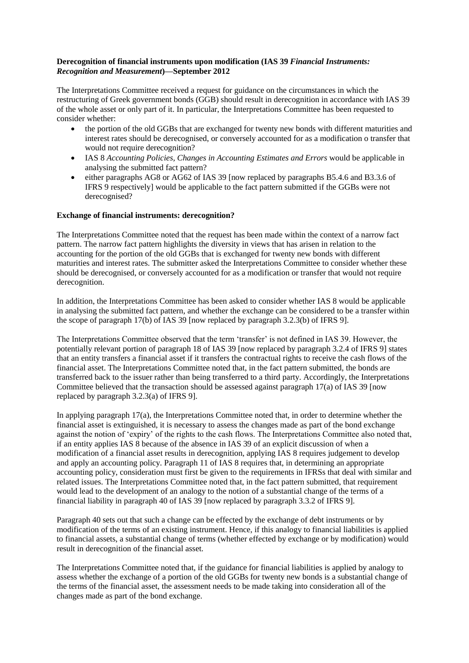## **Derecognition of financial instruments upon modification (IAS 39** *Financial Instruments: Recognition and Measurement***)—September 2012**

The Interpretations Committee received a request for guidance on the circumstances in which the restructuring of Greek government bonds (GGB) should result in derecognition in accordance with IAS 39 of the whole asset or only part of it. In particular, the Interpretations Committee has been requested to consider whether:

- the portion of the old GGBs that are exchanged for twenty new bonds with different maturities and interest rates should be derecognised, or conversely accounted for as a modification o transfer that would not require derecognition?
- IAS 8 *Accounting Policies, Changes in Accounting Estimates and Errors* would be applicable in analysing the submitted fact pattern?
- either paragraphs AG8 or AG62 of IAS 39 [now replaced by paragraphs B5.4.6 and B3.3.6 of IFRS 9 respectively] would be applicable to the fact pattern submitted if the GGBs were not derecognised?

## **Exchange of financial instruments: derecognition?**

The Interpretations Committee noted that the request has been made within the context of a narrow fact pattern. The narrow fact pattern highlights the diversity in views that has arisen in relation to the accounting for the portion of the old GGBs that is exchanged for twenty new bonds with different maturities and interest rates. The submitter asked the Interpretations Committee to consider whether these should be derecognised, or conversely accounted for as a modification or transfer that would not require derecognition.

In addition, the Interpretations Committee has been asked to consider whether IAS 8 would be applicable in analysing the submitted fact pattern, and whether the exchange can be considered to be a transfer within the scope of paragraph 17(b) of IAS 39 [now replaced by paragraph 3.2.3(b) of IFRS 9].

The Interpretations Committee observed that the term 'transfer' is not defined in IAS 39. However, the potentially relevant portion of paragraph 18 of IAS 39 [now replaced by paragraph 3.2.4 of IFRS 9] states that an entity transfers a financial asset if it transfers the contractual rights to receive the cash flows of the financial asset. The Interpretations Committee noted that, in the fact pattern submitted, the bonds are transferred back to the issuer rather than being transferred to a third party. Accordingly, the Interpretations Committee believed that the transaction should be assessed against paragraph 17(a) of IAS 39 [now replaced by paragraph 3.2.3(a) of IFRS 9].

In applying paragraph 17(a), the Interpretations Committee noted that, in order to determine whether the financial asset is extinguished, it is necessary to assess the changes made as part of the bond exchange against the notion of 'expiry' of the rights to the cash flows. The Interpretations Committee also noted that, if an entity applies IAS 8 because of the absence in IAS 39 of an explicit discussion of when a modification of a financial asset results in derecognition, applying IAS 8 requires judgement to develop and apply an accounting policy. Paragraph 11 of IAS 8 requires that, in determining an appropriate accounting policy, consideration must first be given to the requirements in IFRSs that deal with similar and related issues. The Interpretations Committee noted that, in the fact pattern submitted, that requirement would lead to the development of an analogy to the notion of a substantial change of the terms of a financial liability in paragraph 40 of IAS 39 [now replaced by paragraph 3.3.2 of IFRS 9].

Paragraph 40 sets out that such a change can be effected by the exchange of debt instruments or by modification of the terms of an existing instrument. Hence, if this analogy to financial liabilities is applied to financial assets, a substantial change of terms (whether effected by exchange or by modification) would result in derecognition of the financial asset.

The Interpretations Committee noted that, if the guidance for financial liabilities is applied by analogy to assess whether the exchange of a portion of the old GGBs for twenty new bonds is a substantial change of the terms of the financial asset, the assessment needs to be made taking into consideration all of the changes made as part of the bond exchange.